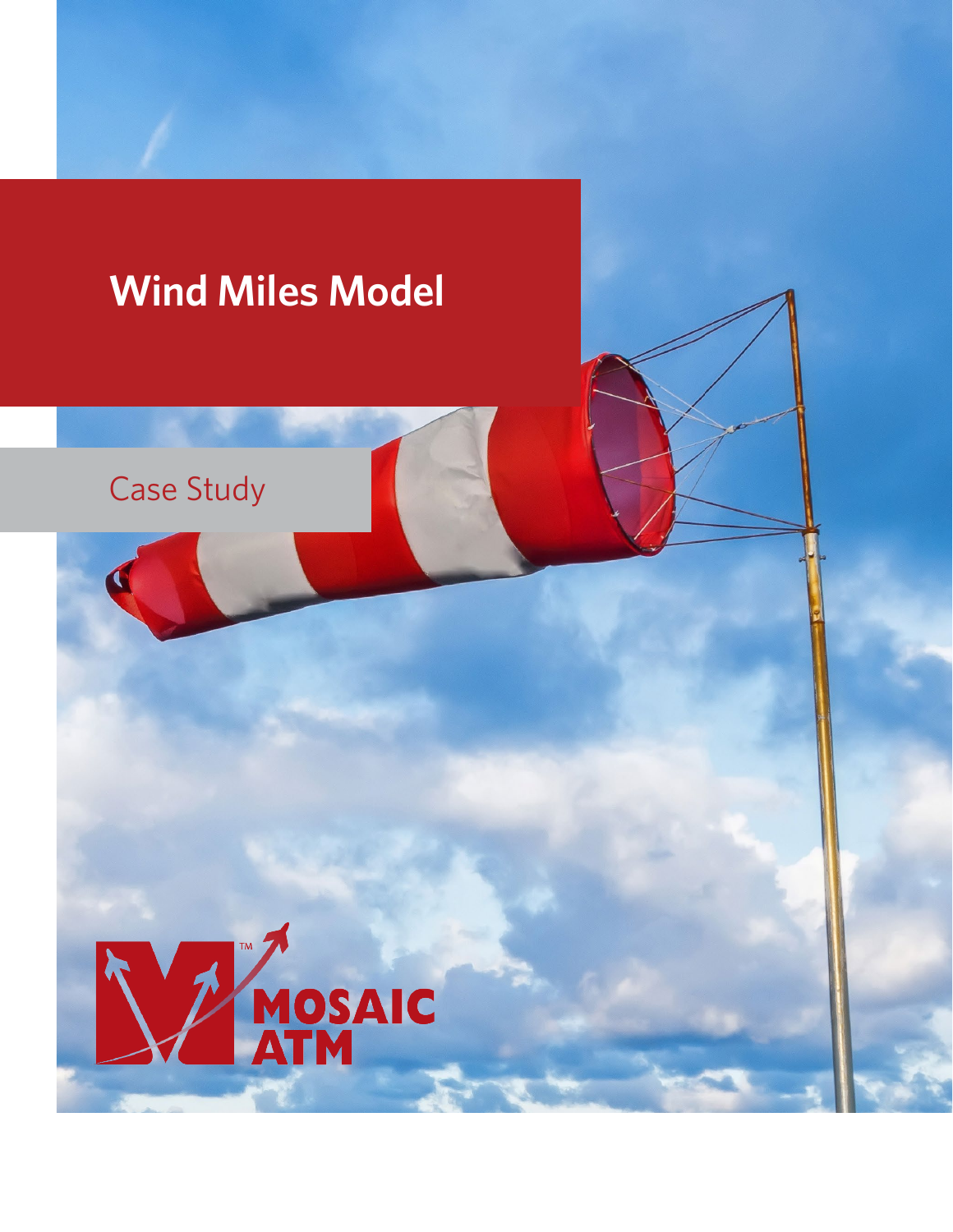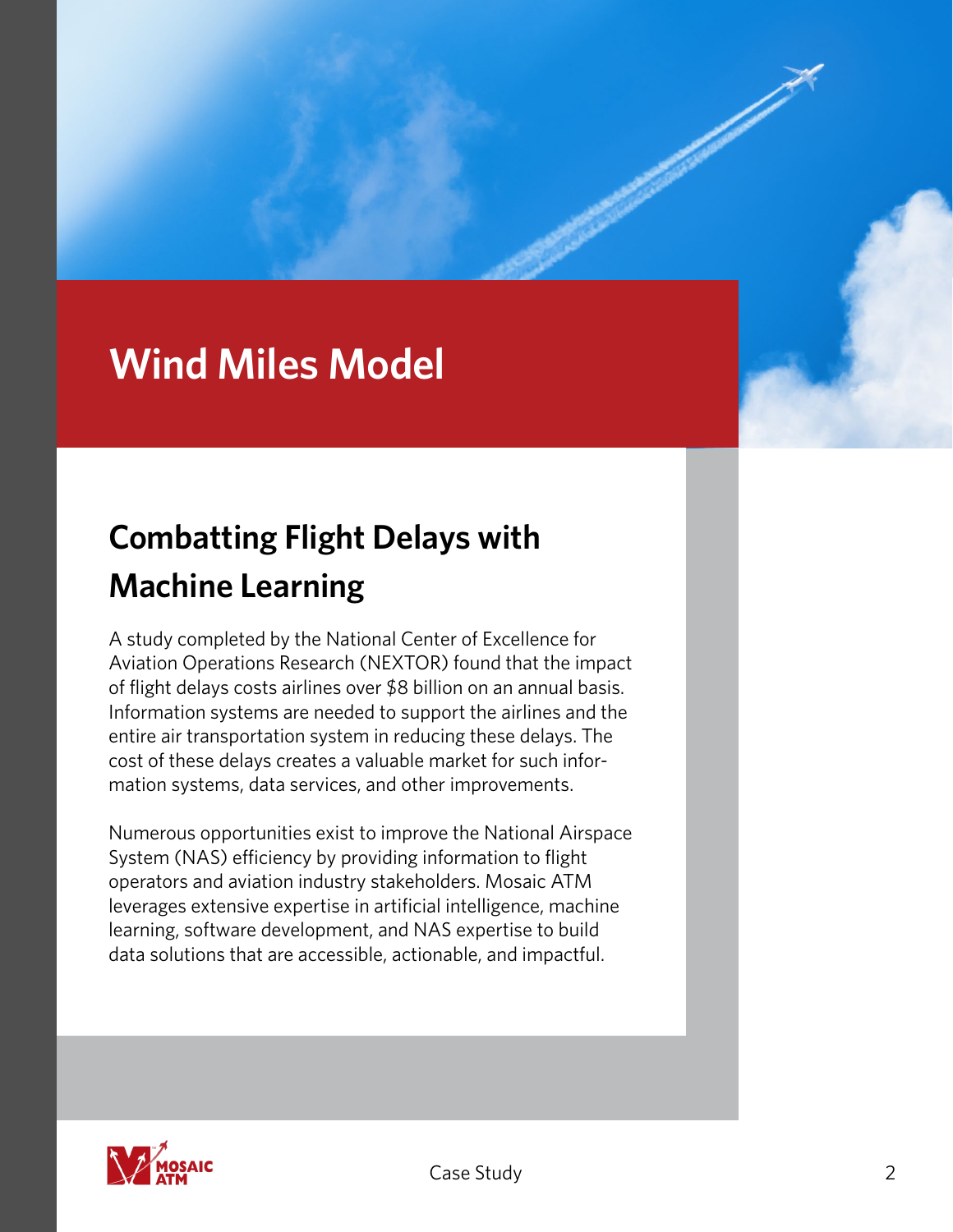# **Wind Miles Model**

# **Combatting Flight Delays with Machine Learning**

A study completed by the National Center of Excellence for Aviation Operations Research (NEXTOR) found that the impact of flight delays costs airlines over \$8 billion on an annual basis. Information systems are needed to support the airlines and the entire air transportation system in reducing these delays. The cost of these delays creates a valuable market for such information systems, data services, and other improvements.

Numerous opportunities exist to improve the National Airspace System (NAS) efficiency by providing information to flight operators and aviation industry stakeholders. Mosaic ATM leverages extensive expertise in artificial intelligence, machine learning, software development, and NAS expertise to build data solutions that are accessible, actionable, and impactful.

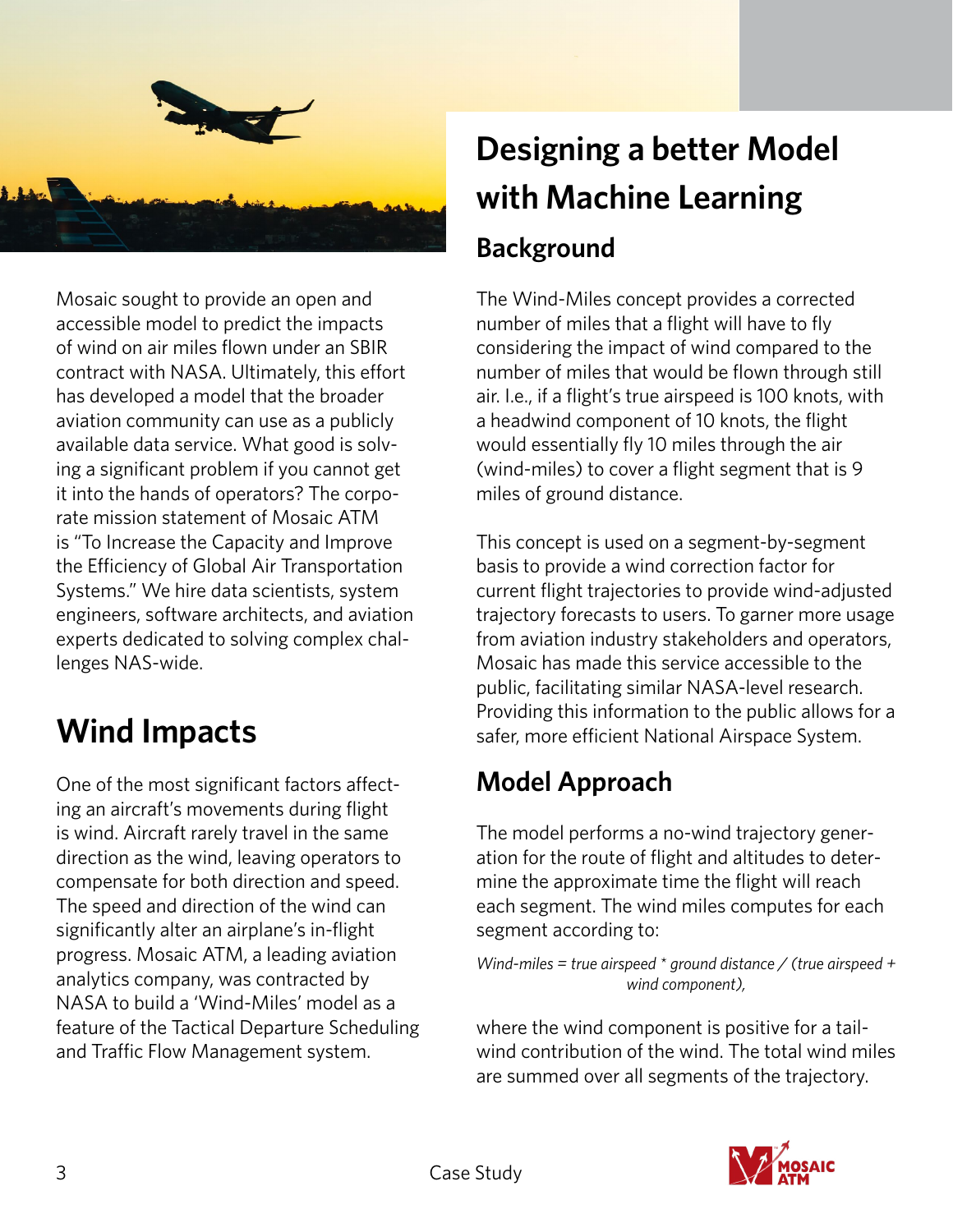

Mosaic sought to provide an open and accessible model to predict the impacts of wind on air miles flown under an SBIR contract with NASA. Ultimately, this effort has developed a model that the broader aviation community can use as a publicly available data service. What good is solving a significant problem if you cannot get it into the hands of operators? The corporate mission statement of Mosaic ATM is "To Increase the Capacity and Improve the Efficiency of Global Air Transportation Systems." We hire data scientists, system engineers, software architects, and aviation experts dedicated to solving complex challenges NAS-wide.

### **Wind Impacts**

One of the most significant factors affecting an aircraft's movements during flight is wind. Aircraft rarely travel in the same direction as the wind, leaving operators to compensate for both direction and speed. The speed and direction of the wind can significantly alter an airplane's in-flight progress. Mosaic ATM, a leading aviation analytics company, was contracted by NASA to build a 'Wind-Miles' model as a feature of the Tactical Departure Scheduling and Traffic Flow Management system.

# **Designing a better Model with Machine Learning Background**

The Wind-Miles concept provides a corrected number of miles that a flight will have to fly considering the impact of wind compared to the number of miles that would be flown through still air. I.e., if a flight's true airspeed is 100 knots, with a headwind component of 10 knots, the flight would essentially fly 10 miles through the air (wind-miles) to cover a flight segment that is 9 miles of ground distance.

This concept is used on a segment-by-segment basis to provide a wind correction factor for current flight trajectories to provide wind-adjusted trajectory forecasts to users. To garner more usage from aviation industry stakeholders and operators, Mosaic has made this service accessible to the public, facilitating similar NASA-level research. Providing this information to the public allows for a safer, more efficient National Airspace System.

#### **Model Approach**

The model performs a no-wind trajectory generation for the route of flight and altitudes to determine the approximate time the flight will reach each segment. The wind miles computes for each segment according to:

*Wind-miles = true airspeed \* ground distance / (true airspeed + wind component),*

where the wind component is positive for a tailwind contribution of the wind. The total wind miles are summed over all segments of the trajectory.

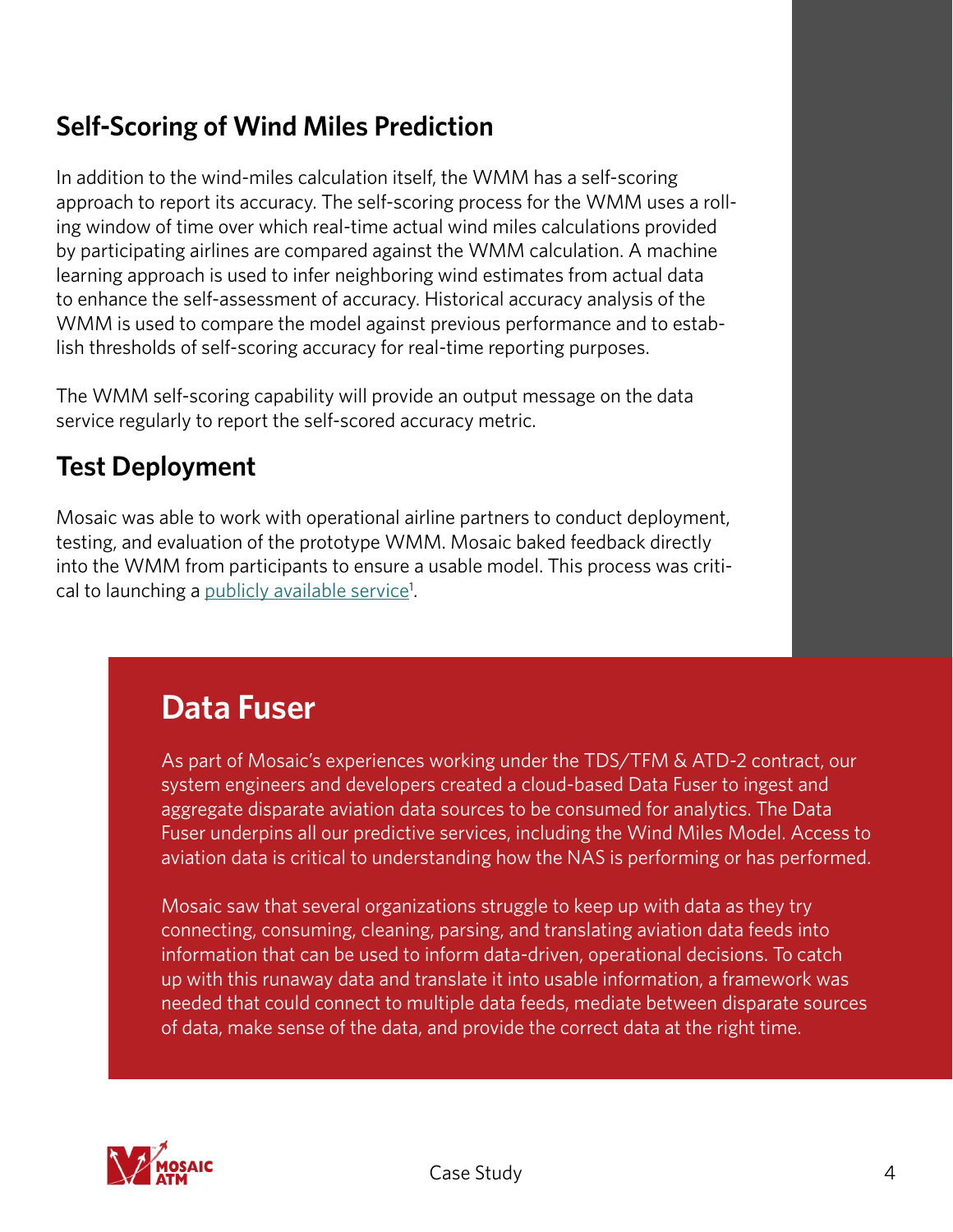### **Self-Scoring of Wind Miles Prediction**

In addition to the wind-miles calculation itself, the WMM has a self-scoring approach to report its accuracy. The self-scoring process for the WMM uses a rolling window of time over which real-time actual wind miles calculations provided by participating airlines are compared against the WMM calculation. A machine learning approach is used to infer neighboring wind estimates from actual data to enhance the self-assessment of accuracy. Historical accuracy analysis of the WMM is used to compare the model against previous performance and to establish thresholds of self-scoring accuracy for real-time reporting purposes.

The WMM self-scoring capability will provide an output message on the data service regularly to report the self-scored accuracy metric.

#### **Test Deployment**

Mosaic was able to work with operational airline partners to conduct deployment, testing, and evaluation of the prototype WMM. Mosaic baked feedback directly into the WMM from participants to ensure a usable model. This process was critical to launching a <u>publicly available service</u><sup>1</sup>.

### **Data Fuser**

As part of Mosaic's experiences working under the TDS/TFM & ATD-2 contract, our system engineers and developers created a cloud-based Data Fuser to ingest and aggregate disparate aviation data sources to be consumed for analytics. The Data Fuser underpins all our predictive services, including the Wind Miles Model. Access to aviation data is critical to understanding how the NAS is performing or has performed.

Mosaic saw that several organizations struggle to keep up with data as they try connecting, consuming, cleaning, parsing, and translating aviation data feeds into information that can be used to inform data-driven, operational decisions. To catch up with this runaway data and translate it into usable information, a framework was needed that could connect to multiple data feeds, mediate between disparate sources of data, make sense of the data, and provide the correct data at the right time.

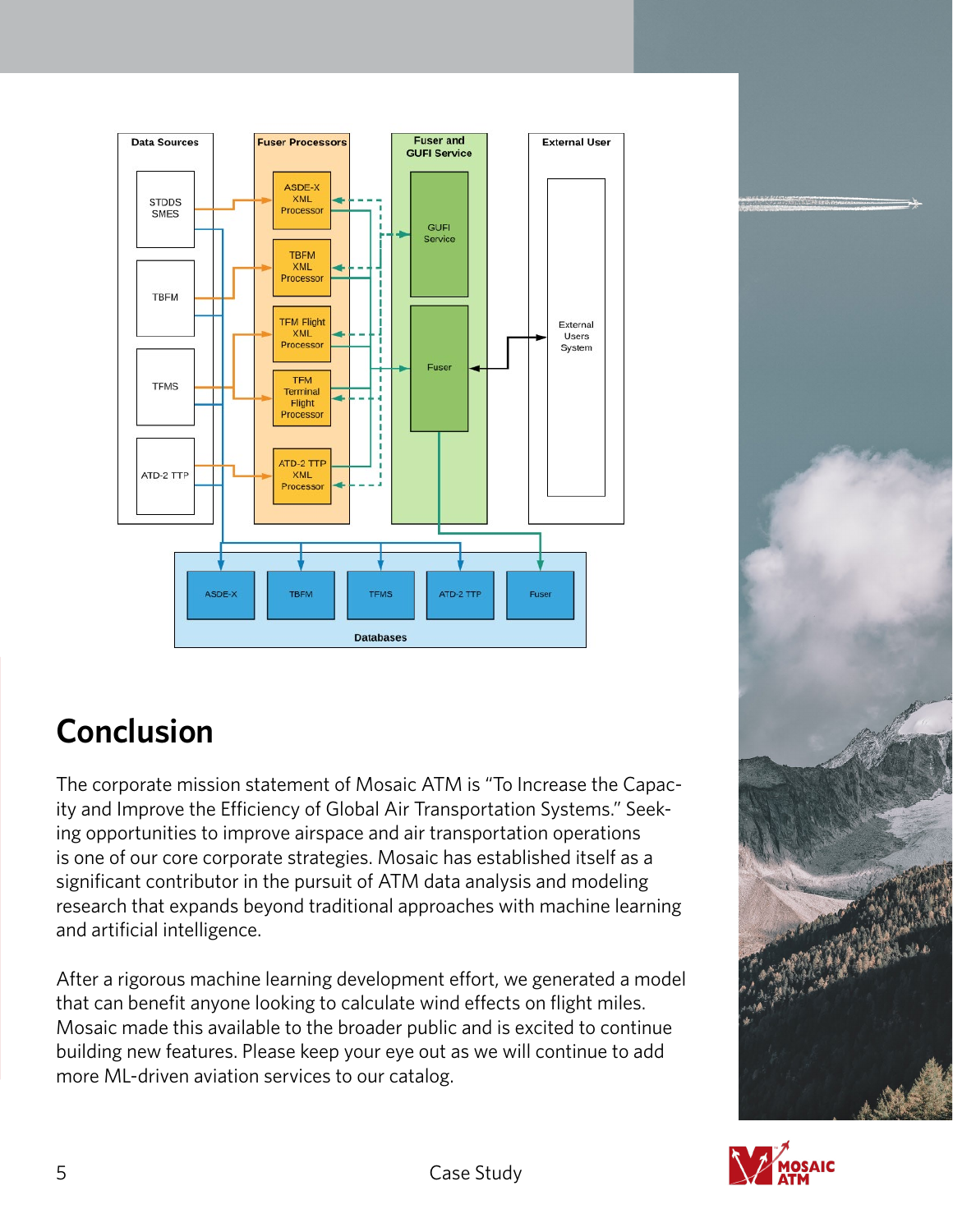

## **Conclusion**

The corporate mission statement of Mosaic ATM is "To Increase the Capacity and Improve the Efficiency of Global Air Transportation Systems." Seeking opportunities to improve airspace and air transportation operations is one of our core corporate strategies. Mosaic has established itself as a significant contributor in the pursuit of ATM data analysis and modeling research that expands beyond traditional approaches with machine learning and artificial intelligence.

After a rigorous machine learning development effort, we generated a model that can benefit anyone looking to calculate wind effects on flight miles. Mosaic made this available to the broader public and is excited to continue building new features. Please keep your eye out as we will continue to add more ML-driven aviation services to our catalog.